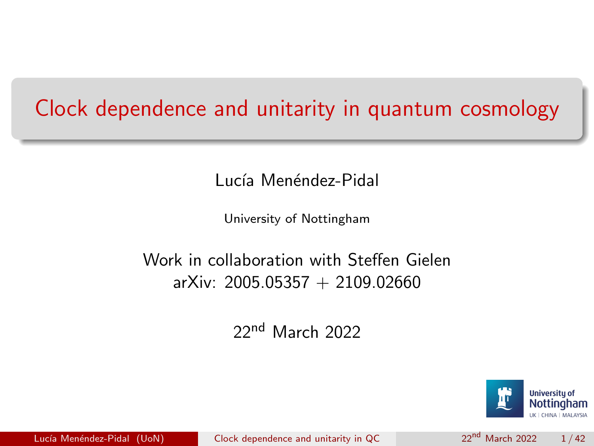### <span id="page-0-0"></span>Clock dependence and unitarity in quantum cosmology

Lucía Menéndez-Pidal

University of Nottingham

#### Work in collaboration with Steffen Gielen arXiv: 2005.05357 + 2109.02660

22nd March 2022

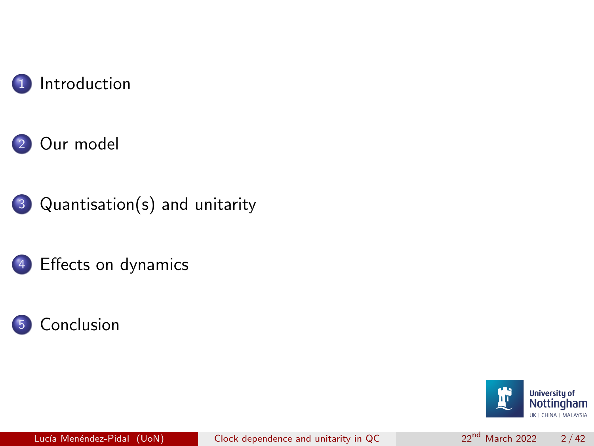









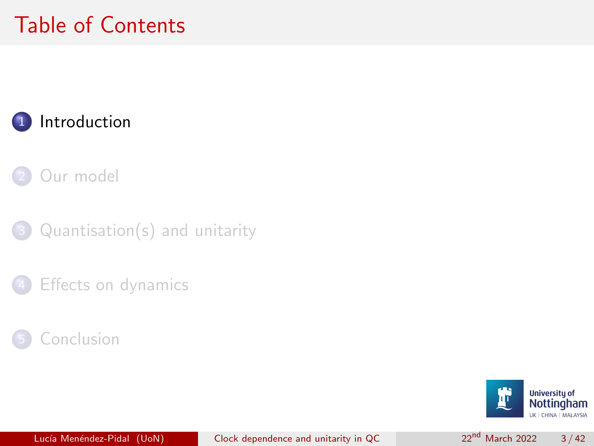# <span id="page-2-0"></span>Table of Contents

### **[Introduction](#page-2-0)**

[Our model](#page-6-0)

 $Quantisation(s)$  and unitarity





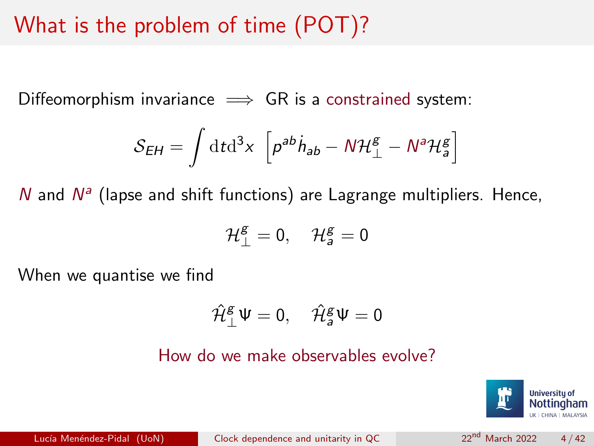# What is the problem of time (POT)?

Diffeomorphism invariance  $\implies$  GR is a constrained system:

$$
S_{EH} = \int \mathrm{d}t \mathrm{d}^3 x \, \left[ p^{ab} \dot{h}_{ab} - N \mathcal{H}_{\perp}^g - N^a \mathcal{H}_{a}^g \right]
$$

 $N$  and  $N^a$  (lapse and shift functions) are Lagrange multipliers. Hence,

$$
\mathcal{H}^{\text{g}}_{\perp}=0,\quad \mathcal{H}^{\text{g}}_{a}=0
$$

When we quantise we find

$$
\hat{\mathcal{H}}^g_{\perp}\Psi=0,\quad \hat{\mathcal{H}}^g_{a}\Psi=0
$$

How do we make observables evolve?

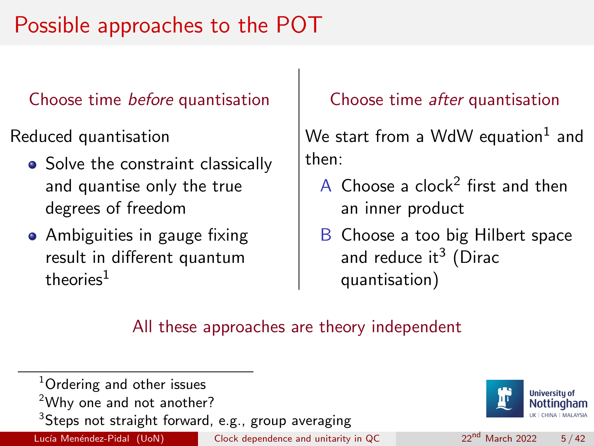# Possible approaches to the POT

#### Choose time before quantisation

Reduced quantisation

- Solve the constraint classically and quantise only the true degrees of freedom
- Ambiguities in gauge fixing result in different quantum  $th$ eories $1$

#### Choose time after quantisation

We start from a WdW equation $^1$  and then:

- A Choose a clock<sup>2</sup> first and then an inner product
- B Choose a too big Hilbert space and reduce it $^3$  (Dirac quantisation)

#### All these approaches are theory independent

<sup>1</sup>Ordering and other issues <sup>2</sup>Why one and not another? <sup>3</sup>Steps not straight forward, e.g., group averaging Lucía Menéndez-Pidal (UoN) [Clock dependence and unitarity in QC](#page-0-0) 22<sup>nd</sup> March 2022 5/42

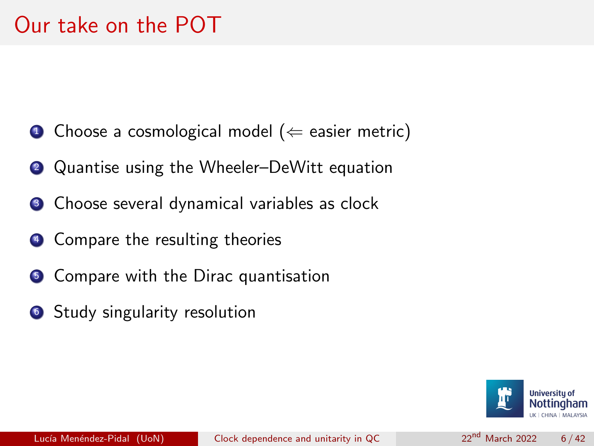- $\bullet$  Choose a cosmological model ( $\Leftarrow$  easier metric)
- **2** Quantise using the Wheeler–DeWitt equation
- <sup>3</sup> Choose several dynamical variables as clock
- <sup>4</sup> Compare the resulting theories
- **5** Compare with the Dirac quantisation
- **6** Study singularity resolution

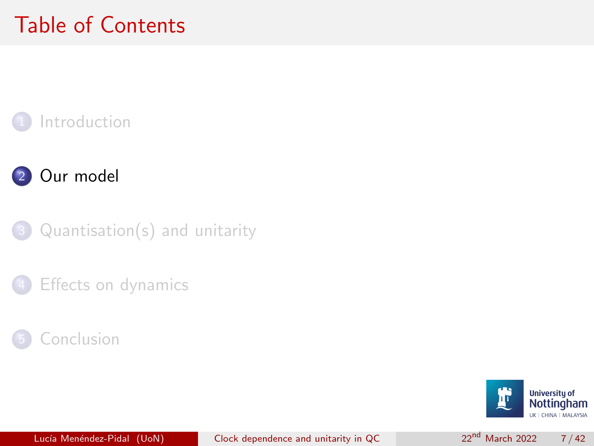# <span id="page-6-0"></span>Table of Contents

### **[Introduction](#page-2-0)**



 $Quantisation(s)$  and unitarity





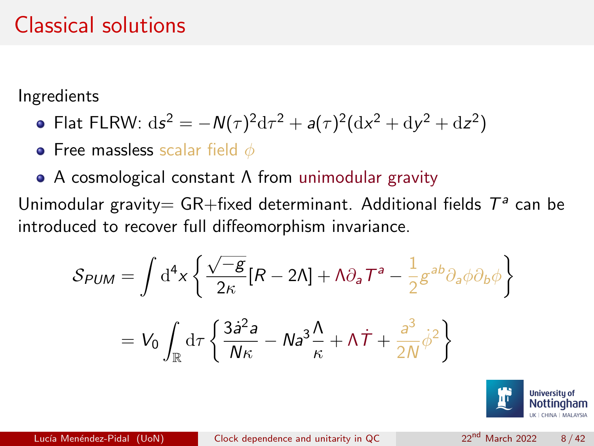## Classical solutions

Ingredients

• Flat FLRW: 
$$
ds^2 = -N(\tau)^2 d\tau^2 + a(\tau)^2 (dx^2 + dy^2 + dz^2)
$$

• Free massless scalar field  $\phi$ 

A cosmological constant Λ from unimodular gravity

Unimodular gravity= GR+fixed determinant. Additional fields  $T^a$  can be introduced to recover full diffeomorphism invariance.

$$
S_{PUM} = \int d^4x \left\{ \frac{\sqrt{-g}}{2\kappa} [R - 2\Lambda] + \Lambda \partial_a T^a - \frac{1}{2} g^{ab} \partial_a \phi \partial_b \phi \right\}
$$

$$
= V_0 \int_{\mathbb{R}} d\tau \left\{ \frac{3\dot{a}^2 a}{N\kappa} - N a^3 \frac{\Lambda}{\kappa} + \Lambda \dot{T} + \frac{a^3}{2N} \dot{\phi}^2 \right\}
$$

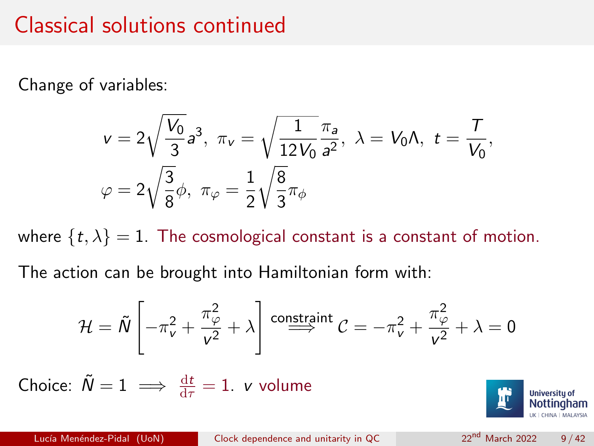### Classical solutions continued

Change of variables:

$$
\begin{aligned}\nv &= 2\sqrt{\frac{V_0}{3}}a^3, \ \pi_v = \sqrt{\frac{1}{12V_0}}\frac{\pi_a}{a^2}, \ \lambda = V_0\Lambda, \ t = \frac{\tau}{V_0}, \\
\varphi &= 2\sqrt{\frac{3}{8}}\phi, \ \pi_\varphi = \frac{1}{2}\sqrt{\frac{8}{3}}\pi_\phi\n\end{aligned}
$$

where  $\{t, \lambda\} = 1$ . The cosmological constant is a constant of motion.

The action can be brought into Hamiltonian form with:

$$
\mathcal{H} = \tilde{N} \left[ -\pi_{\nu}^{2} + \frac{\pi_{\varphi}^{2}}{\nu^{2}} + \lambda \right] \stackrel{\text{constraint}}{\Longrightarrow} \mathcal{C} = -\pi_{\nu}^{2} + \frac{\pi_{\varphi}^{2}}{\nu^{2}} + \lambda = 0
$$

Choice:  $\tilde{N}=1\implies \frac{\mathrm{d}t}{\mathrm{d}\tau}=1$ . *v* volume

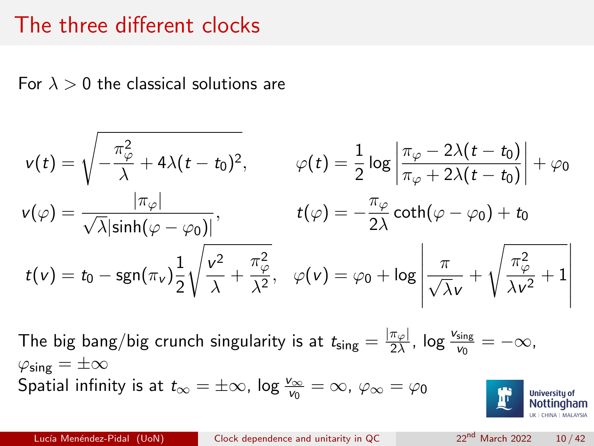### The three different clocks

For  $\lambda > 0$  the classical solutions are

$$
v(t) = \sqrt{-\frac{\pi_{\varphi}^{2}}{\lambda} + 4\lambda(t - t_{0})^{2}}, \qquad \varphi(t) = \frac{1}{2}\log\left|\frac{\pi_{\varphi} - 2\lambda(t - t_{0})}{\pi_{\varphi} + 2\lambda(t - t_{0})}\right| + \varphi_{0}
$$
  

$$
v(\varphi) = \frac{|\pi_{\varphi}|}{\sqrt{\lambda}|\sinh(\varphi - \varphi_{0})|}, \qquad t(\varphi) = -\frac{\pi_{\varphi}}{2\lambda}\coth(\varphi - \varphi_{0}) + t_{0}
$$
  

$$
t(v) = t_{0} - \operatorname{sgn}(\pi_{v})\frac{1}{2}\sqrt{\frac{v^{2}}{\lambda} + \frac{\pi_{\varphi}^{2}}{\lambda^{2}}}, \quad \varphi(v) = \varphi_{0} + \log\left|\frac{\pi}{\sqrt{\lambda}v} + \sqrt{\frac{\pi_{\varphi}^{2}}{\lambda v^{2}} + 1}\right|
$$

The big bang/big crunch singularity is at  $t_{\sf sing} = \frac{|\pi_{\varphi}|}{2\lambda}$  $\frac{\pi_{\varphi}|}{2\lambda}$ , log  $\frac{v_{\text{sing}}}{v_0} = -\infty$ ,  $\varphi_{\sf sing} = \pm \infty$ Spatial infinity is at  $t_\infty=\pm\infty$ , log  $\frac{\nu_\infty}{\nu_0}=\infty$ ,  $\varphi_\infty=\varphi_0$ 



Lucía Menéndez-Pidal (UoN) [Clock dependence and unitarity in QC](#page-0-0) 2<sup>nd</sup> March 2022 10/42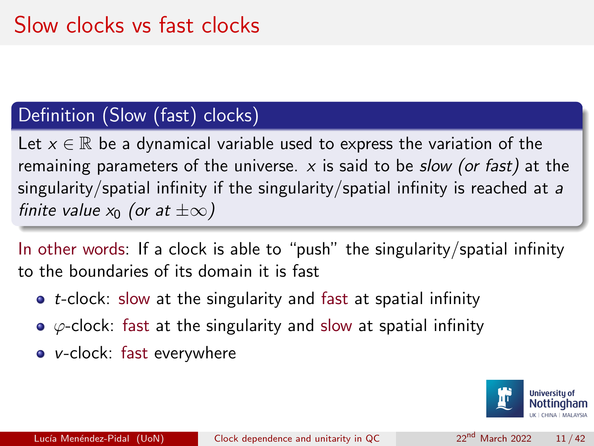#### Definition (Slow (fast) clocks)

Let  $x \in \mathbb{R}$  be a dynamical variable used to express the variation of the remaining parameters of the universe. x is said to be *slow (or fast)* at the singularity/spatial infinity if the singularity/spatial infinity is reached at a finite value  $x_0$  (or at  $\pm\infty$ )

In other words: If a clock is able to "push" the singularity/spatial infinity to the boundaries of its domain it is fast

- $\bullet$  t-clock: slow at the singularity and fast at spatial infinity
- $\bullet$   $\varphi$ -clock: fast at the singularity and slow at spatial infinity
- v-clock: fast everywhere

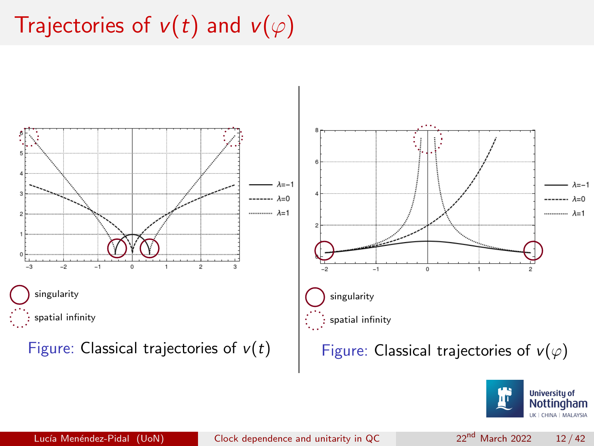# Trajectories of  $v(t)$  and  $v(\varphi)$





 $\lambda = -1$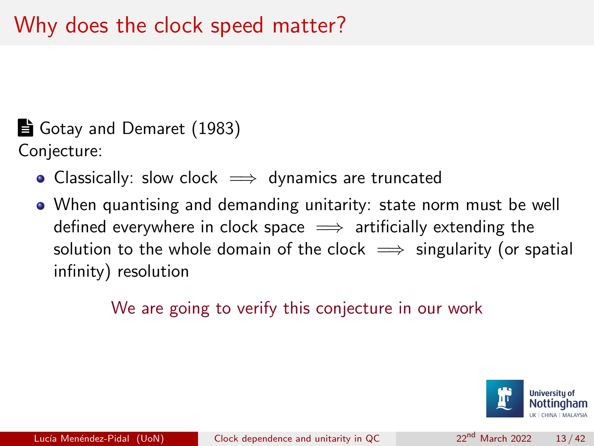$\triangleq$  Gotay and Demaret (1983) Conjecture:

- Classically: slow clock  $\implies$  dynamics are truncated
- When quantising and demanding unitarity: state norm must be well defined everywhere in clock space  $\implies$  artificially extending the solution to the whole domain of the clock  $\implies$  singularity (or spatial infinity) resolution

We are going to verify this conjecture in our work

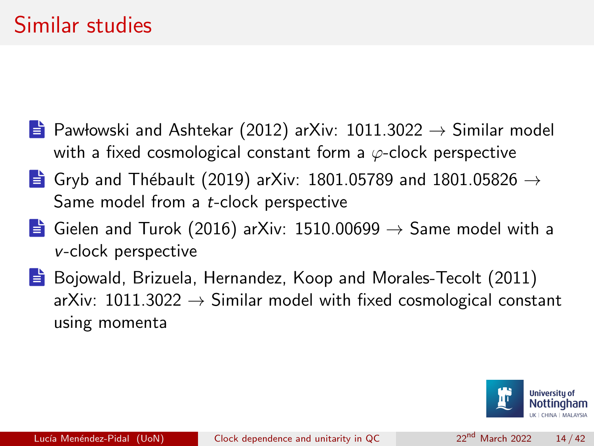- **E** Pawłowski and Ashtekar (2012) arXiv: 1011.3022  $\rightarrow$  Similar model with a fixed cosmological constant form a  $\varphi$ -clock perspective
- **E** Gryb and Thébault (2019) arXiv: 1801.05789 and 1801.05826  $\rightarrow$ Same model from a t-clock perspective
- **E** Gielen and Turok (2016) arXiv: 1510.00699  $\rightarrow$  Same model with a v-clock perspective
- $\Rightarrow$  Bojowald, Brizuela, Hernandez, Koop and Morales-Tecolt (2011) arXiv:  $1011.3022 \rightarrow$  Similar model with fixed cosmological constant using momenta

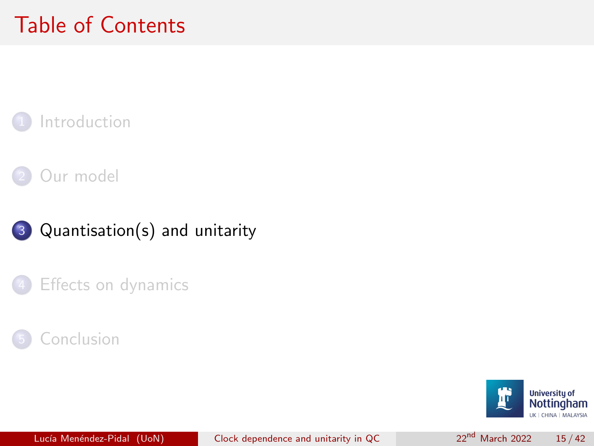# <span id="page-14-0"></span>Table of Contents

### **[Introduction](#page-2-0)**

### [Our model](#page-6-0)







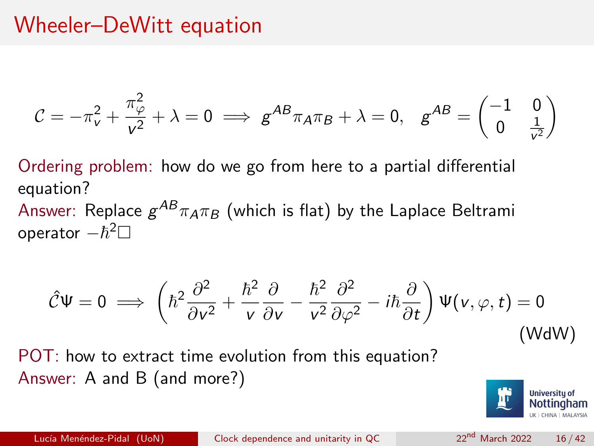### Wheeler–DeWitt equation

$$
C = -\pi_v^2 + \frac{\pi_v^2}{v^2} + \lambda = 0 \implies g^{AB}\pi_A\pi_B + \lambda = 0, \quad g^{AB} = \begin{pmatrix} -1 & 0\\ 0 & \frac{1}{v^2} \end{pmatrix}
$$

Ordering problem: how do we go from here to a partial differential equation?

Answer: Replace  $g^{AB}\pi_A\pi_B$  (which is flat) by the Laplace Beltrami operator  $-\hbar^2\Box$ 

$$
\hat{\mathcal{C}}\Psi = 0 \implies \left(\hbar^2 \frac{\partial^2}{\partial v^2} + \frac{\hbar^2}{v} \frac{\partial}{\partial v} - \frac{\hbar^2}{v^2} \frac{\partial^2}{\partial \varphi^2} - i\hbar \frac{\partial}{\partial t}\right) \Psi(v, \varphi, t) = 0
$$
\n(WdW)

POT: how to extract time evolution from this equation? Answer: A and B (and more?)

<span id="page-15-0"></span>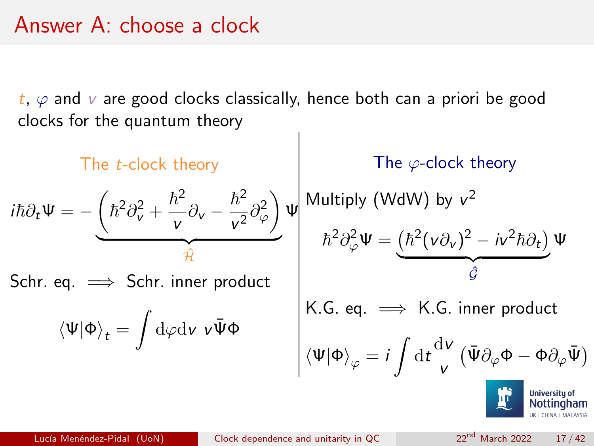### Answer A: choose a clock

 $t, \varphi$  and  $\upsilon$  are good clocks classically, hence both can a priori be good clocks for the quantum theory

The *t*-clock theory  
\n
$$
i\hbar \partial_t \Psi = -\underbrace{\left(\hbar^2 \partial_v^2 + \frac{\hbar^2}{v} \partial_v - \frac{\hbar^2}{v^2} \partial_\varphi^2\right)}_{\hat{\mathcal{H}}} \Psi
$$
\nSohr. eq.  $\implies$  Schr. inner product  
\n
$$
\langle \Psi | \Phi \rangle_t = \int d\varphi d\mathbf{v} \, v \overline{\Psi} \Phi
$$
\nSothr. inner product

\n
$$
\langle \Psi | \Phi \rangle_t = \int d\varphi d\mathbf{v} \, v \overline{\Psi} \Phi
$$
\nSothr. upper product

\n
$$
\langle \Psi | \Phi \rangle_\varphi = i \int d\mathbf{t} \frac{d\mathbf{v}}{v} \left(\overline{\Psi} \partial_\varphi \Phi - \Phi \partial_\varphi \overline{\Psi}\right)
$$
\nHowever, the result is not a factorized in the image.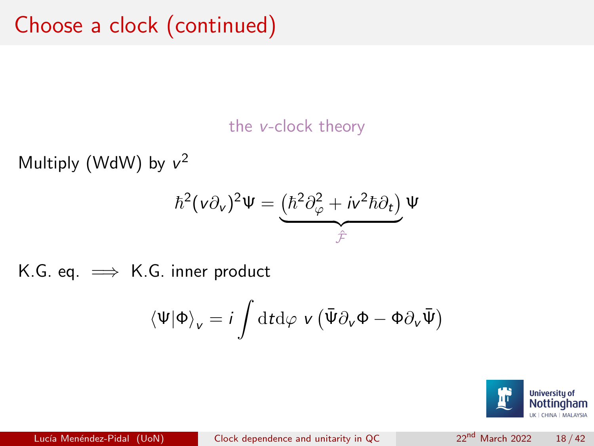the v-clock theory

Multiply [\(WdW\)](#page-15-0) by  $v^2$ 

$$
\hbar^2(\nu\partial_\nu)^2\Psi=\underbrace{(\hbar^2\partial_\varphi^2+i\nu^2\hbar\partial_t)}_{\hat{\mathcal{F}}}\Psi
$$

K.G. eq.  $\implies$  K.G. inner product

$$
\langle \Psi | \Phi \rangle_{v} = i \int \mathrm{d} t \mathrm{d} \varphi \, v \left( \bar{\Psi} \partial_{v} \Phi - \Phi \partial_{v} \bar{\Psi} \right)
$$

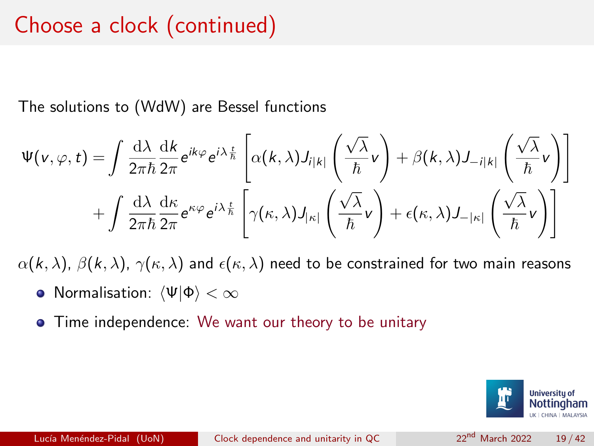### Choose a clock (continued)

The solutions to [\(WdW\)](#page-15-0) are Bessel functions

$$
\Psi(\mathbf{v},\varphi,t) = \int \frac{d\lambda}{2\pi\hbar} \frac{dk}{2\pi} e^{ik\varphi} e^{i\lambda\frac{t}{\hbar}} \left[ \alpha(k,\lambda) J_{i|k|} \left( \frac{\sqrt{\lambda}}{\hbar} \mathbf{v} \right) + \beta(k,\lambda) J_{-i|k|} \left( \frac{\sqrt{\lambda}}{\hbar} \mathbf{v} \right) \right] + \int \frac{d\lambda}{2\pi\hbar} \frac{d\kappa}{2\pi} e^{\kappa\varphi} e^{i\lambda\frac{t}{\hbar}} \left[ \gamma(\kappa,\lambda) J_{|\kappa|} \left( \frac{\sqrt{\lambda}}{\hbar} \mathbf{v} \right) + \epsilon(\kappa,\lambda) J_{-|\kappa|} \left( \frac{\sqrt{\lambda}}{\hbar} \mathbf{v} \right) \right]
$$

 $\alpha(k, \lambda)$ ,  $\beta(k, \lambda)$ ,  $\gamma(\kappa, \lambda)$  and  $\epsilon(\kappa, \lambda)$  need to be constrained for two main reasons

- Normalisation:  $\langle \Psi | \Phi \rangle < \infty$
- Time independence: We want our theory to be unitary

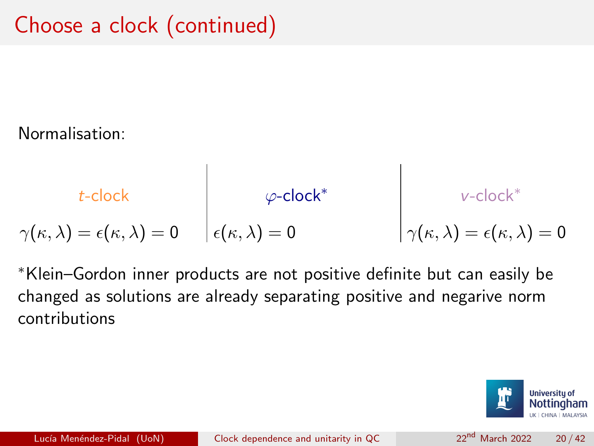#### Normalisation:

$$
t\text{-clock}
$$
\n
$$
\gamma(\kappa, \lambda) = \epsilon(\kappa, \lambda) = 0
$$
\n
$$
\begin{array}{ccc}\n & \varphi\text{-clock}^* \\
\epsilon(\kappa, \lambda) = 0\n\end{array}
$$
\n
$$
\gamma(\kappa, \lambda) = \epsilon(\kappa, \lambda) = 0
$$

T

<sup>∗</sup>Klein–Gordon inner products are not positive definite but can easily be changed as solutions are already separating positive and negarive norm contributions

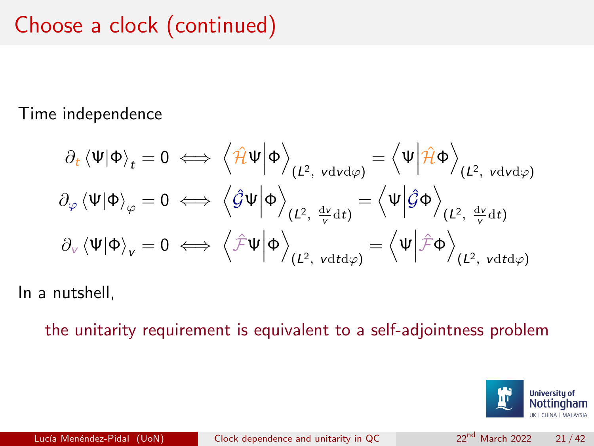# Choose a clock (continued)

#### Time independence

$$
\partial_t \langle \Psi | \Phi \rangle_t = 0 \iff \left\langle \hat{\mathcal{H}} \Psi | \Phi \right\rangle_{(L^2, \text{ vdvd}\varphi)} = \left\langle \Psi | \hat{\mathcal{H}} \Phi \right\rangle_{(L^2, \text{ vdvd}\varphi)}
$$
\n
$$
\partial_{\varphi} \langle \Psi | \Phi \rangle_{\varphi} = 0 \iff \left\langle \hat{\mathcal{G}} \Psi | \Phi \right\rangle_{(L^2, \frac{d\nu}{\nu} dt)} = \left\langle \Psi | \hat{\mathcal{G}} \Phi \right\rangle_{(L^2, \frac{d\nu}{\nu} dt)}
$$
\n
$$
\partial_{\nu} \langle \Psi | \Phi \rangle_{\mathsf{v}} = 0 \iff \left\langle \hat{\mathcal{F}} \Psi | \Phi \right\rangle_{(L^2, \text{ vdtd}\varphi)} = \left\langle \Psi | \hat{\mathcal{F}} \Phi \right\rangle_{(L^2, \text{ vdtd}\varphi)}
$$

In a nutshell,

the unitarity requirement is equivalent to a self-adjointness problem

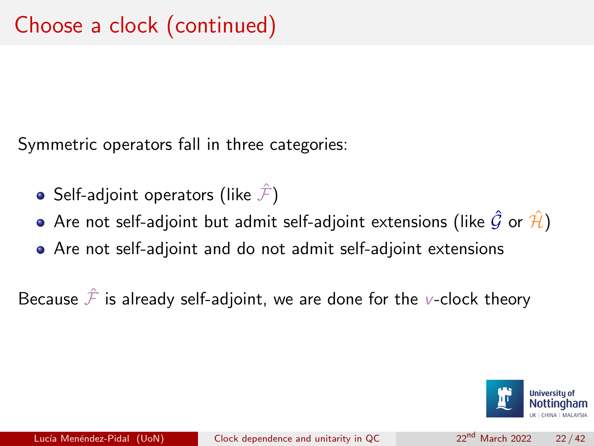Symmetric operators fall in three categories:

- Self-adjoint operators (like  $\hat{\mathcal{F}}$ )
- Are not self-adjoint but admit self-adjoint extensions (like  $\hat{G}$  or  $\hat{\mathcal{H}}$ )
- Are not self-adjoint and do not admit self-adjoint extensions

Because  $\hat{\mathcal{F}}$  is already self-adjoint, we are done for the v-clock theory

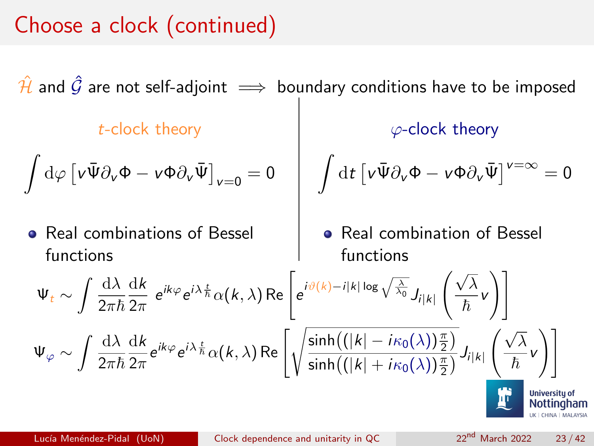# Choose a clock (continued)

 $\hat{H}$  and  $\hat{G}$  are not self-adjoint  $\implies$  boundary conditions have to be imposed t-clock theory  $\int d\varphi \left[ \nu \bar{\Psi} \partial_{\nu} \Phi - \nu \Phi \partial_{\nu} \bar{\Psi} \right]_{\nu=0} = 0$ • Real combinations of Bessel functions  $\varphi$ -clock theory  $\int dt \left[ v \bar{\Psi} \partial_{v} \Phi - v \Phi \partial_{v} \bar{\Psi} \right]^{v=\infty} = 0$ • Real combination of Bessel functions  $\Psi_t \sim \int \frac{\mathrm{d}\lambda}{2\pi i}$  $\overline{2\pi\hbar}$ dk  $\frac{{\rm d} k}{2\pi}\; e^{ik\varphi} e^{i\lambda \frac{t}{h}} \alpha(k,\lambda) \, {\rm Re}\, \Biggl[ e^{i\vartheta(k)-i|k|\log \sqrt{\frac{\lambda}{\lambda_0}}} J_{i|k|} \Biggr]$  $\sqrt{\lambda}$  $\frac{\ldots}{\hbar}$ v  $\setminus$  ]  $\Psi_{\varphi} \sim \int \frac{\mathrm{d}\lambda}{2\pi i}$  $\overline{2\pi\hbar}$ dk  $\frac{\mathrm{d}k}{2\pi}e^{ik\varphi}e^{i\lambda\frac{t}{\hbar}}\alpha(k,\lambda)\,\mathrm{Re}\left[\sqrt{\frac{\sinh\left(\left(|k|-i\kappa_0(\lambda)\right)\frac{\pi}{2}\right)}{\sinh\left(\left(|k|+i\kappa_0(\lambda)\right)\frac{\pi}{2}\right)}}\right]$  $\frac{\sinh\left(\left(\left|k\right| + i\kappa_0(\lambda)\right)\frac{\pi}{2}\right)}{\sinh\left(\left(\left|k\right| + i\kappa_0(\lambda)\right)\frac{\pi}{2}\right)} J_{i|k|}$  <sup>√</sup> λ  $\frac{\partial}{\partial h}$ v  $\setminus$  ]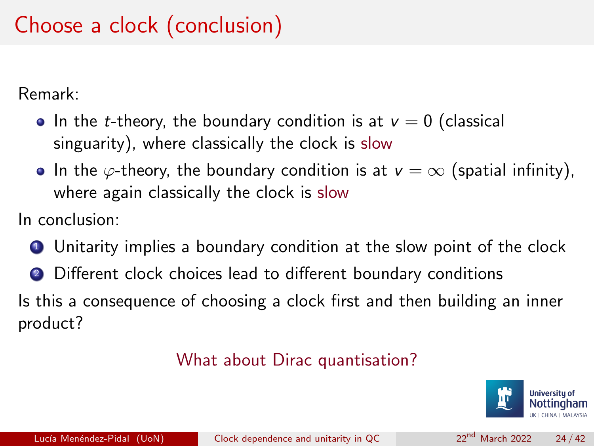# Choose a clock (conclusion)

Remark:

- In the *t*-theory, the boundary condition is at  $v = 0$  (classical singuarity), where classically the clock is slow
- In the  $\varphi$ -theory, the boundary condition is at  $v = \infty$  (spatial infinity), where again classically the clock is slow

In conclusion:

- **1** Unitarity implies a boundary condition at the slow point of the clock
- <sup>2</sup> Different clock choices lead to different boundary conditions

Is this a consequence of choosing a clock first and then building an inner product?

#### What about Dirac quantisation?

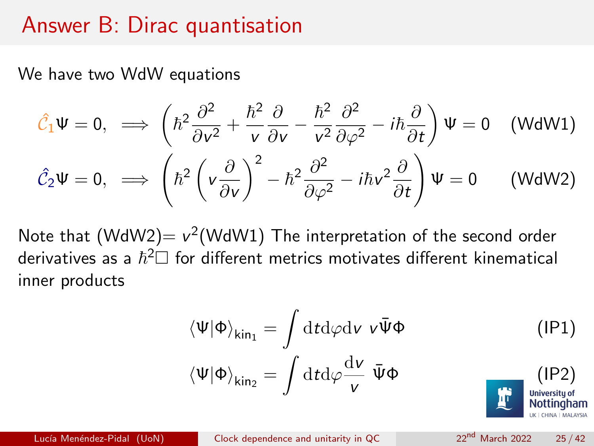### Answer B: Dirac quantisation

We have two WdW equations

$$
\hat{\mathcal{C}}_1 \Psi = 0, \implies \left(\hbar^2 \frac{\partial^2}{\partial v^2} + \frac{\hbar^2}{v} \frac{\partial}{\partial v} - \frac{\hbar^2}{v^2} \frac{\partial^2}{\partial \varphi^2} - i\hbar \frac{\partial}{\partial t}\right) \Psi = 0 \quad \text{(WdW1)}
$$
\n
$$
\hat{\mathcal{C}}_2 \Psi = 0, \implies \left(\hbar^2 \left(v \frac{\partial}{\partial v}\right)^2 - \hbar^2 \frac{\partial^2}{\partial \varphi^2} - i\hbar v^2 \frac{\partial}{\partial t}\right) \Psi = 0 \quad \text{(WdW2)}
$$

Note that  $(WdW2) = v^2(WdW1)$  The interpretation of the second order derivatives as a  $\hbar^2\Box$  for different metrics motivates different kinematical inner products

<span id="page-24-1"></span><span id="page-24-0"></span>
$$
\langle \Psi | \Phi \rangle_{\text{kin}_1} = \int \mathrm{d}t \mathrm{d}\varphi \mathrm{d}v \, v \bar{\Psi} \Phi \qquad (1P1)
$$
\n
$$
\langle \Psi | \Phi \rangle_{\text{kin}_2} = \int \mathrm{d}t \mathrm{d}\varphi \frac{\mathrm{d}v}{v} \, \bar{\Psi} \Phi \qquad (1P2)
$$
\nSubstituohan

Lucía Menéndez-Pidal (UoN) [Clock dependence and unitarity in QC](#page-0-0) 22<sup>nd</sup> March 2022 25/42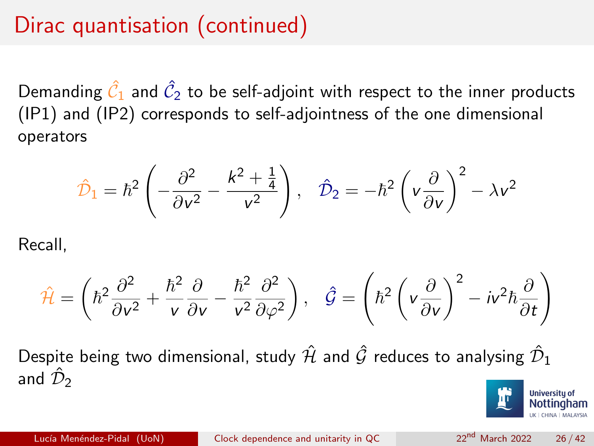# Dirac quantisation (continued)

Demanding  $\hat{\mathcal{C}}_1$  and  $\hat{\mathcal{C}}_2$  to be self-adjoint with respect to the inner products [\(IP1\)](#page-24-0) and [\(IP2\)](#page-24-1) corresponds to self-adjointness of the one dimensional operators

$$
\hat{\mathcal{D}}_1 = \hbar^2 \left( -\frac{\partial^2}{\partial v^2} - \frac{k^2 + \frac{1}{4}}{v^2} \right), \quad \hat{\mathcal{D}}_2 = -\hbar^2 \left( v \frac{\partial}{\partial v} \right)^2 - \lambda v^2
$$

Recall,

$$
\hat{\mathcal{H}} = \left(\hbar^2 \frac{\partial^2}{\partial v^2} + \frac{\hbar^2}{v} \frac{\partial}{\partial v} - \frac{\hbar^2}{v^2} \frac{\partial^2}{\partial \varphi^2}\right), \quad \hat{\mathcal{G}} = \left(\hbar^2 \left(v \frac{\partial}{\partial v}\right)^2 - iv^2 \hbar \frac{\partial}{\partial t}\right)
$$

Despite being two dimensional, study  $\hat{\mathcal{H}}$  and  $\hat{\mathcal{G}}$  reduces to analysing  $\hat{\mathcal{D}}_1$ and  $\hat{\mathcal{D}}_2$ 

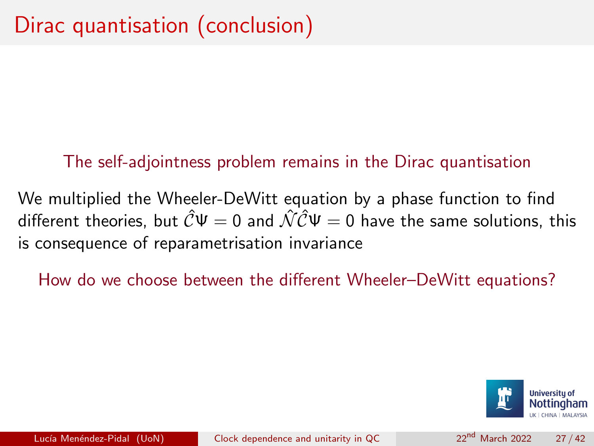#### The self-adjointness problem remains in the Dirac quantisation

We multiplied the Wheeler-DeWitt equation by a phase function to find different theories, but  $\hat{C}\Psi = 0$  and  $\hat{\mathcal{NC}}\Psi = 0$  have the same solutions, this is consequence of reparametrisation invariance

How do we choose between the different Wheeler–DeWitt equations?

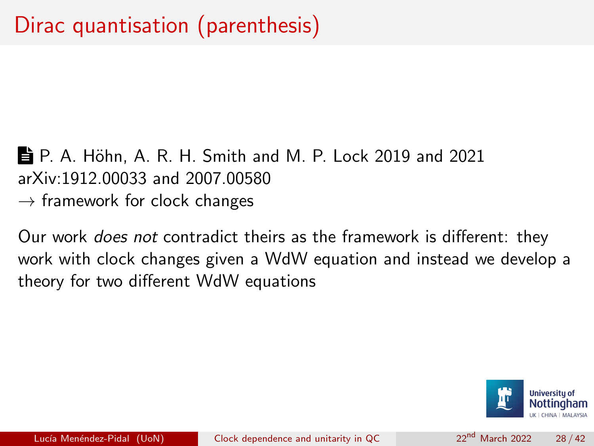■ P. A. Höhn, A. R. H. Smith and M. P. Lock 2019 and 2021 arXiv:1912.00033 and 2007.00580  $\rightarrow$  framework for clock changes

Our work does not contradict theirs as the framework is different: they work with clock changes given a WdW equation and instead we develop a theory for two different WdW equations

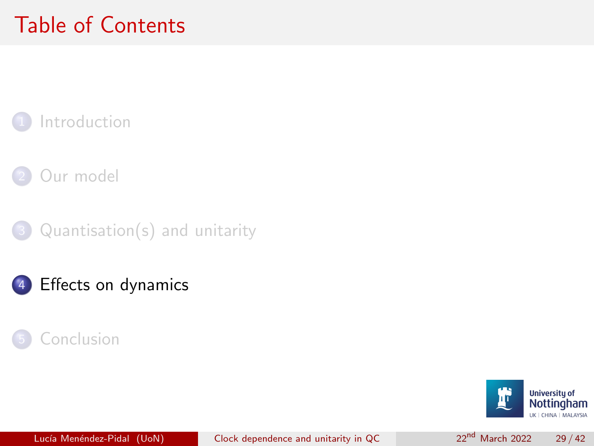# <span id="page-28-0"></span>Table of Contents

### **[Introduction](#page-2-0)**

- [Our model](#page-6-0)
- $Quantisation(s)$  and unitarity
- [Effects on dynamics](#page-28-0)



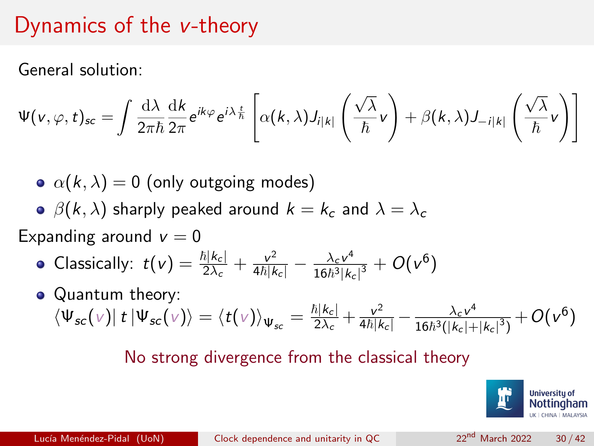### Dynamics of the v-theory

General solution:

$$
\Psi(\mathbf{v},\varphi,t)_{\mathsf{sc}} = \int \frac{\mathrm{d}\lambda}{2\pi\hbar} \frac{\mathrm{d}k}{2\pi} e^{ik\varphi} e^{i\lambda\frac{t}{\hbar}} \left[ \alpha(k,\lambda) J_{i|k|} \left( \frac{\sqrt{\lambda}}{\hbar} \mathbf{v} \right) + \beta(k,\lambda) J_{-i|k|} \left( \frac{\sqrt{\lambda}}{\hbar} \mathbf{v} \right) \right]
$$

- $\alpha(k, \lambda) = 0$  (only outgoing modes)
- **•**  $\beta(k, \lambda)$  sharply peaked around  $k = k_c$  and  $\lambda = \lambda_c$

Expanding around  $v = 0$ 

- Classically:  $t(v) = \frac{\hbar|k_c|}{2\lambda_c} + \frac{v^2}{4\hbar|k_c|} \frac{\lambda_c v^4}{16\hbar^3|k_c|}$  $\frac{\lambda_c \nu^4}{16 \hbar^3 |k_c|^3} + O(\nu^6)$
- Quantum theory:  $\bra{\Psi_{\text{sc}}(\text{v})}t\ket{\Psi_{\text{sc}}(\text{v})} = \braket{t(\text{v})}_{\Psi_{\text{sc}}} = \frac{\hbar|\text{k}_c|}{2\lambda_c}$  $\frac{\hbar |\boldsymbol{k}_{\mathrm{c}}|}{2\lambda_{\mathrm{c}}} + \frac{\nu^2}{4\hbar |\boldsymbol{k}_{\mathrm{c}}|} - \frac{\lambda_{\mathrm{c}}\nu^4}{16\hbar^3(|\boldsymbol{k}_{\mathrm{c}}|+1)}$  $\frac{\lambda_c \nu^4}{16 \hbar^3 (|k_c|+|k_c|^3)} + O(\nu^6)$

#### No strong divergence from the classical theory

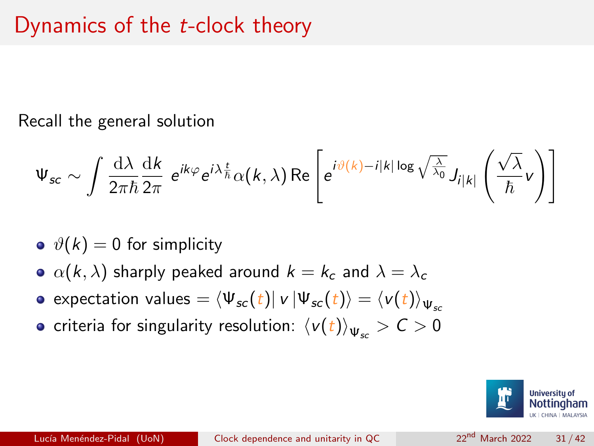Recall the general solution

$$
\Psi_{sc} \sim \int \frac{\mathrm{d}\lambda}{2\pi\hbar} \frac{\mathrm{d}k}{2\pi} e^{ik\varphi} e^{i\lambda\frac{t}{\hbar}} \alpha(k,\lambda) \,\mathrm{Re}\left[e^{i\vartheta(k)-i|k|\log\sqrt{\frac{\lambda}{\lambda_0}}} J_{i|k|}\left(\frac{\sqrt{\lambda}}{\hbar}v\right)\right]
$$

- $\phi(\theta(k)) = 0$  for simplicity
- $\bullet \ \alpha(k, \lambda)$  sharply peaked around  $k = k_c$  and  $\lambda = \lambda_c$
- expectation values =  $\langle \Psi_{sc} (t) | v | \Psi_{sc} (t) \rangle = \langle v(t) \rangle_{\text{ur}}$
- criteria for singularity resolution:  $\langle v(t)\rangle_{\Psi} > C > 0$

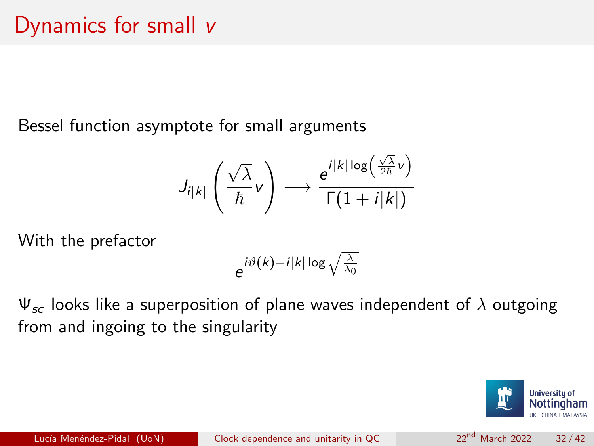Bessel function asymptote for small arguments

$$
J_{i|k|}\left(\frac{\sqrt{\lambda}}{\hbar}\nu\right)\longrightarrow \frac{e^{i|k|\log\left(\frac{\sqrt{\lambda}}{2\hbar}\nu\right)}}{\Gamma(1+i|k|)}
$$

With the prefactor

$$
e^{i\vartheta(k)-i|k|\log\sqrt{\frac{\lambda}{\lambda_0}}}
$$

 $\Psi_{sc}$  looks like a superposition of plane waves independent of  $\lambda$  outgoing from and ingoing to the singularity

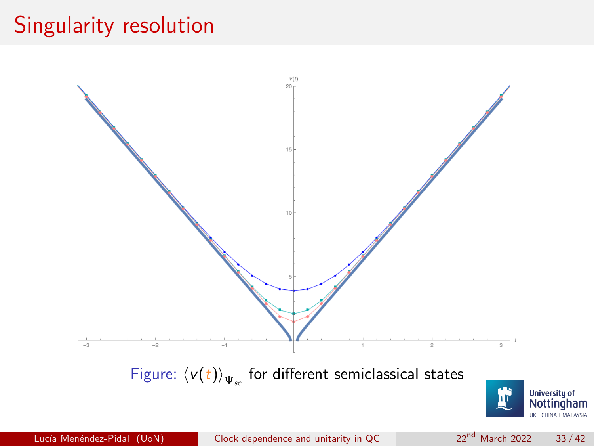### Singularity resolution

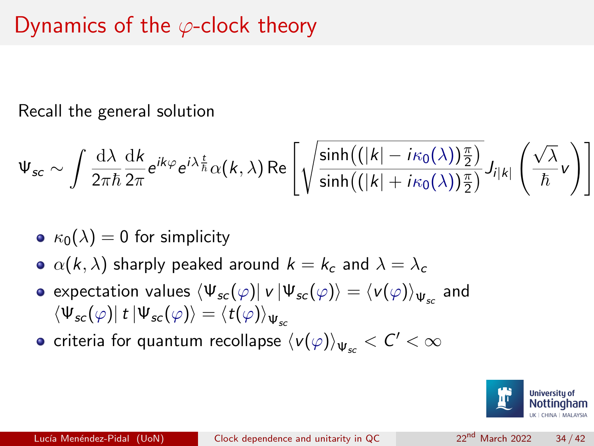### Dynamics of the  $\varphi$ -clock theory

Recall the general solution

$$
\Psi_{sc} \sim \int \frac{d\lambda}{2\pi\hbar} \frac{dk}{2\pi} e^{ik\varphi} e^{i\lambda\frac{t}{\hbar}} \alpha(k,\lambda) \operatorname{Re}\left[\sqrt{\frac{\sinh\left(\left(|k|-i\kappa_0(\lambda)\right)\frac{\pi}{2}\right)}{\sinh\left(\left(|k|+i\kappa_0(\lambda)\right)\frac{\pi}{2}\right)}} J_{i|k|}\left(\frac{\sqrt{\lambda}}{\hbar}\nu\right)\right]
$$

- $\kappa_0(\lambda) = 0$  for simplicity
- $\alpha(k, \lambda)$  sharply peaked around  $k = k_c$  and  $\lambda = \lambda_c$
- expectation values  $\bra{\Psi_{sc}(\varphi)}$   $\ket{\Psi_{sc}(\varphi)} = \braket{\nu(\varphi)}_{\Psi_{sc}}$  and  $\langle \Psi_{sc}(\varphi) | t | \Psi_{sc}(\varphi) \rangle = \langle t(\varphi) \rangle_{\Psi}$
- criteria for quantum recollapse  $\langle\nu(\varphi)\rangle_{\Psi_{\!sc}} < C' < \infty$

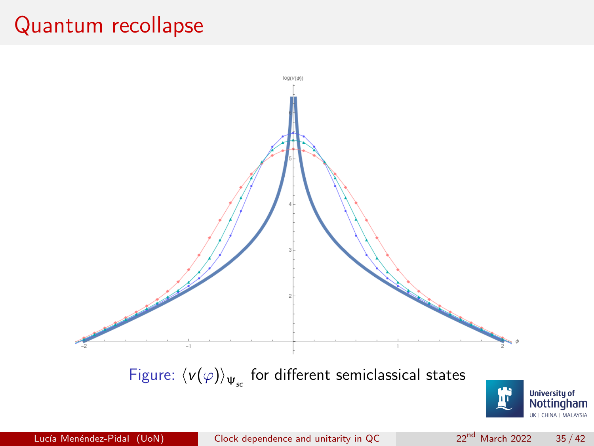### Quantum recollapse

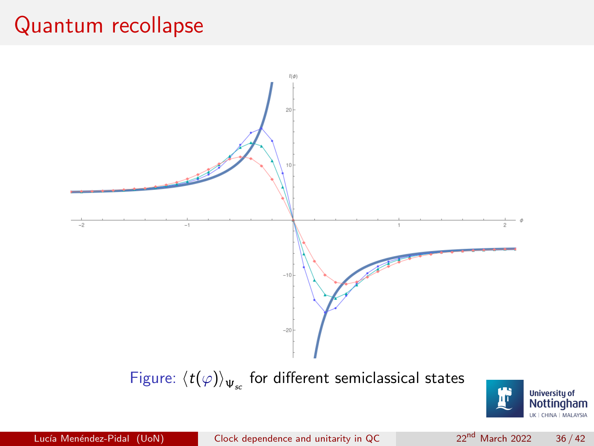### Quantum recollapse



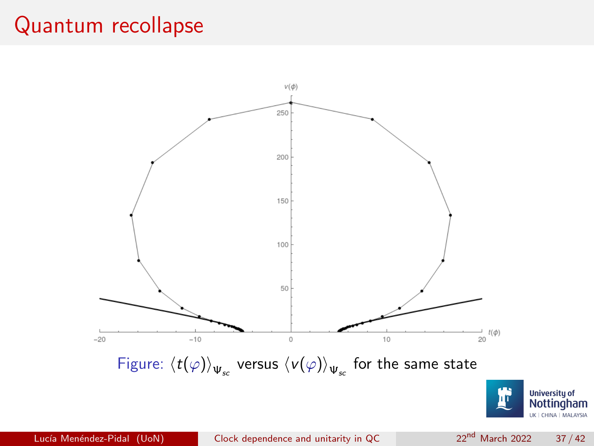### Quantum recollapse

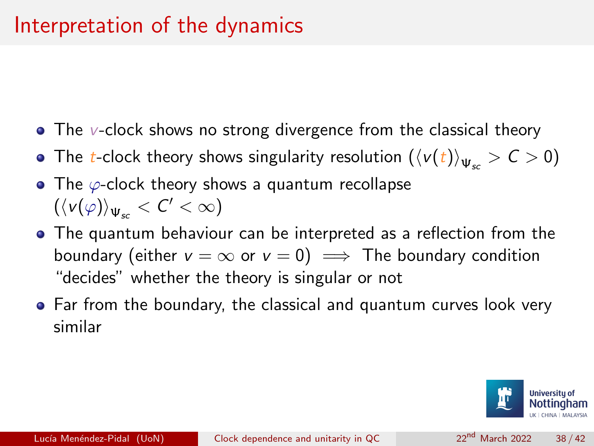- The v-clock shows no strong divergence from the classical theory
- The t-clock theory shows singularity resolution  $(\langle v(t)\rangle_{\Psi_{\infty}} > C > 0)$
- The  $\varphi$ -clock theory shows a quantum recollapse  $(\langle \nu(\varphi) \rangle_{\Psi_{\rm sc}} < \mathcal{C}' < \infty)$
- The quantum behaviour can be interpreted as a reflection from the boundary (either  $v = \infty$  or  $v = 0$ )  $\implies$  The boundary condition "decides" whether the theory is singular or not
- Far from the boundary, the classical and quantum curves look very similar

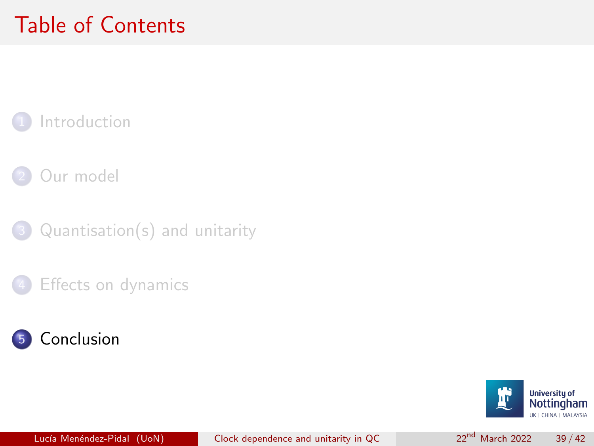# <span id="page-38-0"></span>Table of Contents

### **[Introduction](#page-2-0)**

[Our model](#page-6-0)

 $Quantisation(s)$  and unitarity

[Effects on dynamics](#page-28-0)



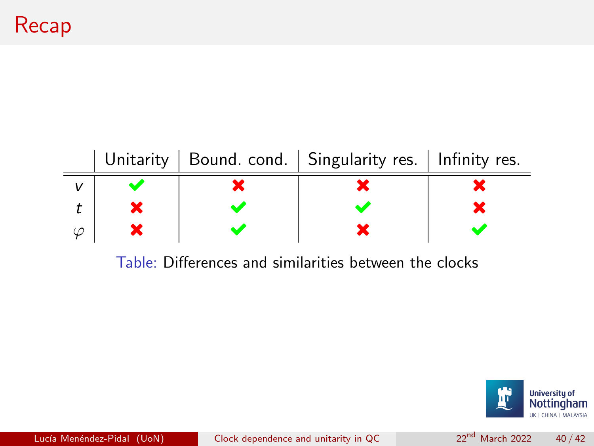



Lucía Menéndez-Pidal (UoN) [Clock dependence and unitarity in QC](#page-0-0) 22<sup>nd</sup> March 2022 40 / 42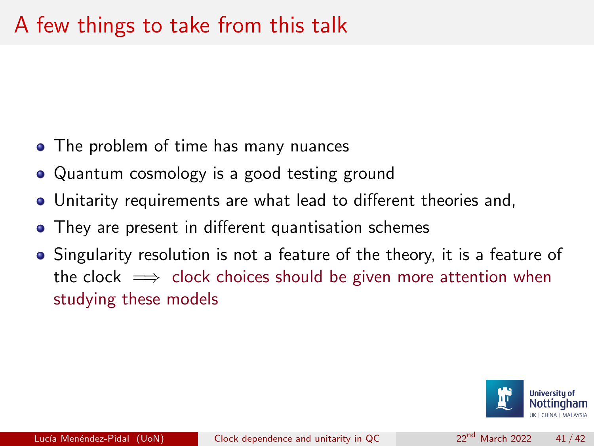### A few things to take from this talk

- The problem of time has many nuances
- Quantum cosmology is a good testing ground
- Unitarity requirements are what lead to different theories and,
- They are present in different quantisation schemes
- Singularity resolution is not a feature of the theory, it is a feature of the clock  $\implies$  clock choices should be given more attention when studying these models